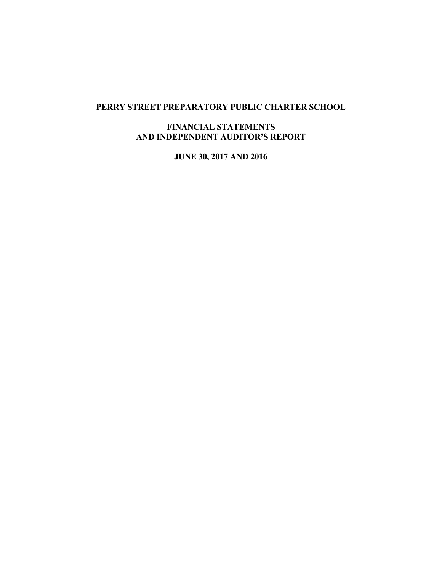## **PERRY STREET PREPARATORY PUBLIC CHARTER SCHOOL**

## **FINANCIAL STATEMENTS AND INDEPENDENT AUDITOR'S REPORT**

**JUNE 30, 2017 AND 2016**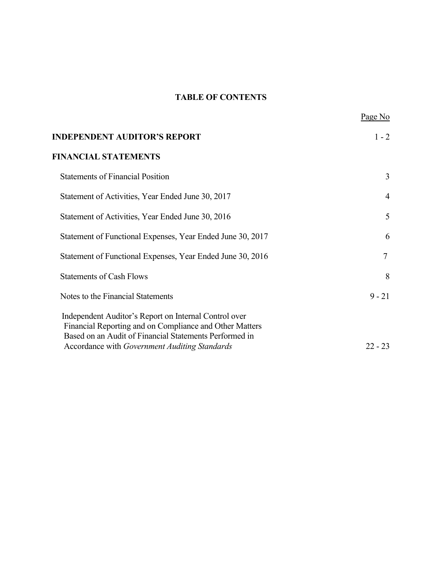# **TABLE OF CONTENTS**

|                                                                                                                                                                            | Page No        |
|----------------------------------------------------------------------------------------------------------------------------------------------------------------------------|----------------|
| <b>INDEPENDENT AUDITOR'S REPORT</b>                                                                                                                                        | $1 - 2$        |
| <b>FINANCIAL STATEMENTS</b>                                                                                                                                                |                |
| <b>Statements of Financial Position</b>                                                                                                                                    | 3              |
| Statement of Activities, Year Ended June 30, 2017                                                                                                                          | $\overline{4}$ |
| Statement of Activities, Year Ended June 30, 2016                                                                                                                          | 5              |
| Statement of Functional Expenses, Year Ended June 30, 2017                                                                                                                 | 6              |
| Statement of Functional Expenses, Year Ended June 30, 2016                                                                                                                 | $\overline{7}$ |
| <b>Statements of Cash Flows</b>                                                                                                                                            | 8              |
| Notes to the Financial Statements                                                                                                                                          | $9 - 21$       |
| Independent Auditor's Report on Internal Control over<br>Financial Reporting and on Compliance and Other Matters<br>Based on an Audit of Financial Statements Performed in |                |
| Accordance with Government Auditing Standards                                                                                                                              | $22 - 23$      |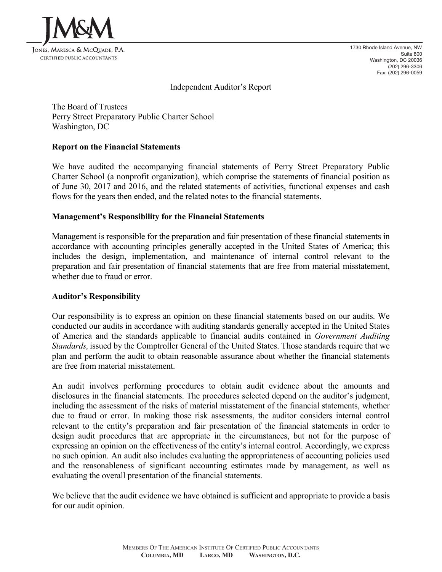

1730 Rhode Island Avenue, NW Suite 800 Washington, DC 20036 (202) 296-3306 Fax: (202) 296-0059

### Independent Auditor's Report

The Board of Trustees Perry Street Preparatory Public Charter School Washington, DC

#### **Report on the Financial Statements**

We have audited the accompanying financial statements of Perry Street Preparatory Public Charter School (a nonprofit organization), which comprise the statements of financial position as of June 30, 2017 and 2016, and the related statements of activities, functional expenses and cash flows for the years then ended, and the related notes to the financial statements.

#### **Management's Responsibility for the Financial Statements**

Management is responsible for the preparation and fair presentation of these financial statements in accordance with accounting principles generally accepted in the United States of America; this includes the design, implementation, and maintenance of internal control relevant to the preparation and fair presentation of financial statements that are free from material misstatement, whether due to fraud or error.

#### **Auditor's Responsibility**

Our responsibility is to express an opinion on these financial statements based on our audits. We conducted our audits in accordance with auditing standards generally accepted in the United States of America and the standards applicable to financial audits contained in *Government Auditing Standards,* issued by the Comptroller General of the United States. Those standards require that we plan and perform the audit to obtain reasonable assurance about whether the financial statements are free from material misstatement.

An audit involves performing procedures to obtain audit evidence about the amounts and disclosures in the financial statements. The procedures selected depend on the auditor's judgment, including the assessment of the risks of material misstatement of the financial statements, whether due to fraud or error. In making those risk assessments, the auditor considers internal control relevant to the entity's preparation and fair presentation of the financial statements in order to design audit procedures that are appropriate in the circumstances, but not for the purpose of expressing an opinion on the effectiveness of the entity's internal control. Accordingly, we express no such opinion. An audit also includes evaluating the appropriateness of accounting policies used and the reasonableness of significant accounting estimates made by management, as well as evaluating the overall presentation of the financial statements.

We believe that the audit evidence we have obtained is sufficient and appropriate to provide a basis for our audit opinion.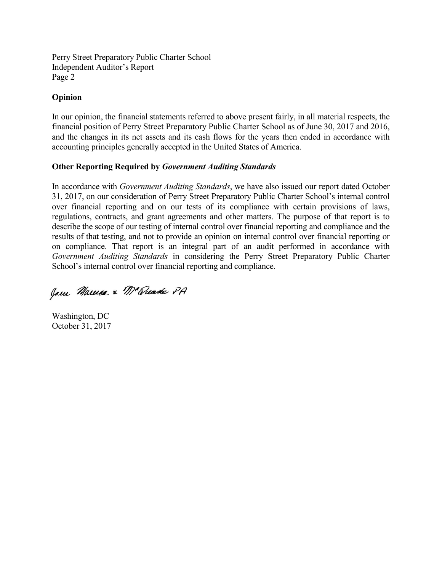Perry Street Preparatory Public Charter School Independent Auditor's Report Page 2

## **Opinion**

In our opinion, the financial statements referred to above present fairly, in all material respects, the financial position of Perry Street Preparatory Public Charter School as of June 30, 2017 and 2016, and the changes in its net assets and its cash flows for the years then ended in accordance with accounting principles generally accepted in the United States of America.

## **Other Reporting Required by** *Government Auditing Standards*

In accordance with *Government Auditing Standards*, we have also issued our report dated October 31, 2017, on our consideration of Perry Street Preparatory Public Charter School's internal control over financial reporting and on our tests of its compliance with certain provisions of laws, regulations, contracts, and grant agreements and other matters. The purpose of that report is to describe the scope of our testing of internal control over financial reporting and compliance and the results of that testing, and not to provide an opinion on internal control over financial reporting or on compliance. That report is an integral part of an audit performed in accordance with *Government Auditing Standards* in considering the Perry Street Preparatory Public Charter School's internal control over financial reporting and compliance.

Jam Marusa & Mc Quade PA

Washington, DC October 31, 2017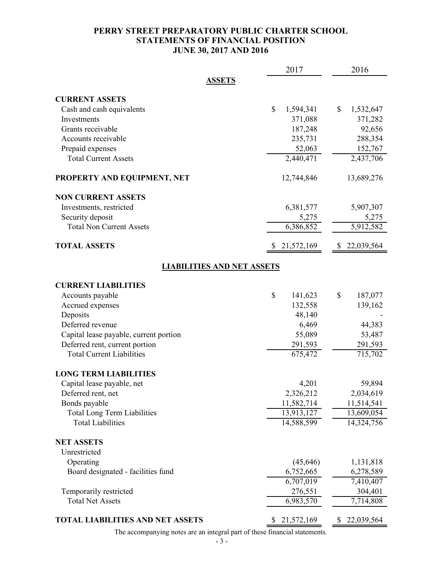## **PERRY STREET PREPARATORY PUBLIC CHARTER SCHOOL STATEMENTS OF FINANCIAL POSITION JUNE 30, 2017 AND 2016**

|                                         | 2017             | 2016             |  |  |  |  |  |
|-----------------------------------------|------------------|------------------|--|--|--|--|--|
| <b>ASSETS</b>                           |                  |                  |  |  |  |  |  |
| <b>CURRENT ASSETS</b>                   |                  |                  |  |  |  |  |  |
| Cash and cash equivalents               | \$<br>1,594,341  | \$<br>1,532,647  |  |  |  |  |  |
| Investments                             | 371,088          | 371,282          |  |  |  |  |  |
| Grants receivable                       | 187,248          | 92,656           |  |  |  |  |  |
| Accounts receivable                     | 235,731          | 288,354          |  |  |  |  |  |
| Prepaid expenses                        | 52,063           | 152,767          |  |  |  |  |  |
| <b>Total Current Assets</b>             | 2,440,471        | 2,437,706        |  |  |  |  |  |
| PROPERTY AND EQUIPMENT, NET             | 12,744,846       | 13,689,276       |  |  |  |  |  |
| <b>NON CURRENT ASSETS</b>               |                  |                  |  |  |  |  |  |
| Investments, restricted                 | 6,381,577        | 5,907,307        |  |  |  |  |  |
| Security deposit                        | 5,275            | 5,275            |  |  |  |  |  |
| <b>Total Non Current Assets</b>         | 6,386,852        | 5,912,582        |  |  |  |  |  |
| <b>TOTAL ASSETS</b>                     | 21,572,169       | 22,039,564       |  |  |  |  |  |
| <b>LIABILITIES AND NET ASSETS</b>       |                  |                  |  |  |  |  |  |
| <b>CURRENT LIABILITIES</b>              |                  |                  |  |  |  |  |  |
| Accounts payable                        | \$<br>141,623    | \$<br>187,077    |  |  |  |  |  |
| Accrued expenses                        | 132,558          | 139,162          |  |  |  |  |  |
| Deposits                                | 48,140           |                  |  |  |  |  |  |
| Deferred revenue                        | 6,469            | 44,383           |  |  |  |  |  |
| Capital lease payable, current portion  | 55,089           | 53,487           |  |  |  |  |  |
| Deferred rent, current portion          | 291,593          | 291,593          |  |  |  |  |  |
| <b>Total Current Liabilities</b>        | 675,472          | 715,702          |  |  |  |  |  |
| <b>LONG TERM LIABILITIES</b>            |                  |                  |  |  |  |  |  |
| Capital lease payable, net              | 4,201            | 59,894           |  |  |  |  |  |
| Deferred rent, net                      | 2,326,212        | 2,034,619        |  |  |  |  |  |
| Bonds payable                           | 11,582,714       | 11,514,541       |  |  |  |  |  |
| <b>Total Long Term Liabilities</b>      | 13,913,127       | 13,609,054       |  |  |  |  |  |
| <b>Total Liabilities</b>                | 14,588,599       | 14,324,756       |  |  |  |  |  |
| <b>NET ASSETS</b>                       |                  |                  |  |  |  |  |  |
| Unrestricted                            |                  |                  |  |  |  |  |  |
| Operating                               | (45, 646)        | 1,131,818        |  |  |  |  |  |
| Board designated - facilities fund      | 6,752,665        | 6,278,589        |  |  |  |  |  |
|                                         | 6,707,019        | 7,410,407        |  |  |  |  |  |
| Temporarily restricted                  | 276,551          | 304,401          |  |  |  |  |  |
| <b>Total Net Assets</b>                 | 6,983,570        | 7,714,808        |  |  |  |  |  |
| <b>TOTAL LIABILITIES AND NET ASSETS</b> | 21,572,169<br>\$ | 22,039,564<br>\$ |  |  |  |  |  |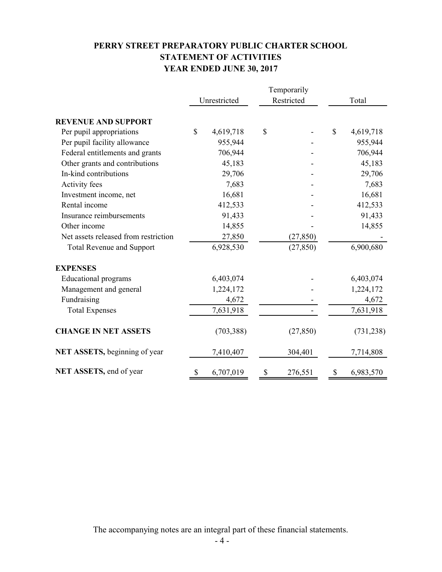# **PERRY STREET PREPARATORY PUBLIC CHARTER SCHOOL STATEMENT OF ACTIVITIES YEAR ENDED JUNE 30, 2017**

|                                      | Temporarily  |            |    |            |    |            |
|--------------------------------------|--------------|------------|----|------------|----|------------|
|                                      | Unrestricted |            |    | Restricted |    | Total      |
| <b>REVENUE AND SUPPORT</b>           |              |            |    |            |    |            |
| Per pupil appropriations             | \$           | 4,619,718  | \$ |            | \$ | 4,619,718  |
| Per pupil facility allowance         |              | 955,944    |    |            |    | 955,944    |
| Federal entitlements and grants      |              | 706,944    |    |            |    | 706,944    |
| Other grants and contributions       |              | 45,183     |    |            |    | 45,183     |
| In-kind contributions                |              | 29,706     |    |            |    | 29,706     |
| Activity fees                        |              | 7,683      |    |            |    | 7,683      |
| Investment income, net               |              | 16,681     |    |            |    | 16,681     |
| Rental income                        |              | 412,533    |    |            |    | 412,533    |
| Insurance reimbursements             |              | 91,433     |    |            |    | 91,433     |
| Other income                         |              | 14,855     |    |            |    | 14,855     |
| Net assets released from restriction |              | 27,850     |    | (27, 850)  |    |            |
| <b>Total Revenue and Support</b>     |              | 6,928,530  |    | (27, 850)  |    | 6,900,680  |
| <b>EXPENSES</b>                      |              |            |    |            |    |            |
| <b>Educational programs</b>          |              | 6,403,074  |    |            |    | 6,403,074  |
| Management and general               |              | 1,224,172  |    |            |    | 1,224,172  |
| Fundraising                          |              | 4,672      |    |            |    | 4,672      |
| <b>Total Expenses</b>                |              | 7,631,918  |    |            |    | 7,631,918  |
| <b>CHANGE IN NET ASSETS</b>          |              | (703, 388) |    | (27, 850)  |    | (731, 238) |
| NET ASSETS, beginning of year        |              | 7,410,407  |    | 304,401    |    | 7,714,808  |
| NET ASSETS, end of year              | \$           | 6,707,019  | \$ | 276,551    | \$ | 6,983,570  |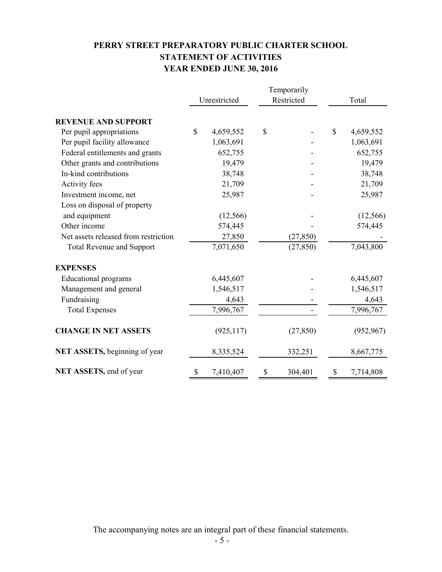# **PERRY STREET PREPARATORY PUBLIC CHARTER SCHOOL STATEMENT OF ACTIVITIES YEAR ENDED JUNE 30, 2016**

|                                      | Temporarily  |            |    |            |    |            |
|--------------------------------------|--------------|------------|----|------------|----|------------|
|                                      | Unrestricted |            |    | Restricted |    | Total      |
| <b>REVENUE AND SUPPORT</b>           |              |            |    |            |    |            |
| Per pupil appropriations             | \$           | 4,659,552  | \$ |            | \$ | 4,659,552  |
| Per pupil facility allowance         |              | 1,063,691  |    |            |    | 1,063,691  |
| Federal entitlements and grants      |              | 652,755    |    |            |    | 652,755    |
| Other grants and contributions       |              | 19,479     |    |            |    | 19,479     |
| In-kind contributions                |              | 38,748     |    |            |    | 38,748     |
| Activity fees                        |              | 21,709     |    |            |    | 21,709     |
| Investment income, net               |              | 25,987     |    |            |    | 25,987     |
| Loss on disposal of property         |              |            |    |            |    |            |
| and equipment                        |              | (12, 566)  |    |            |    | (12, 566)  |
| Other income                         |              | 574,445    |    |            |    | 574,445    |
| Net assets released from restriction |              | 27,850     |    | (27, 850)  |    |            |
| <b>Total Revenue and Support</b>     |              | 7,071,650  |    | (27, 850)  |    | 7,043,800  |
| <b>EXPENSES</b>                      |              |            |    |            |    |            |
| <b>Educational programs</b>          |              | 6,445,607  |    |            |    | 6,445,607  |
| Management and general               |              | 1,546,517  |    |            |    | 1,546,517  |
| Fundraising                          |              | 4,643      |    |            |    | 4,643      |
| <b>Total Expenses</b>                |              | 7,996,767  |    |            |    | 7,996,767  |
| <b>CHANGE IN NET ASSETS</b>          |              | (925, 117) |    | (27, 850)  |    | (952, 967) |
| <b>NET ASSETS, beginning of year</b> |              | 8,335,524  |    | 332,251    |    | 8,667,775  |
| NET ASSETS, end of year              | \$           | 7,410,407  | \$ | 304,401    | S  | 7,714,808  |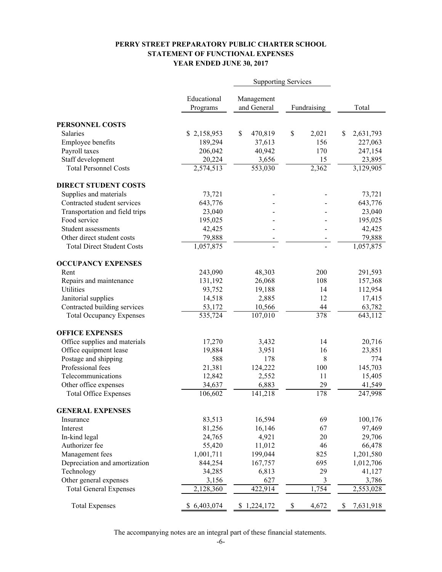### **PERRY STREET PREPARATORY PUBLIC CHARTER SCHOOL STATEMENT OF FUNCTIONAL EXPENSES YEAR ENDED JUNE 30, 2017**

|                                   |                      | <b>Supporting Services</b> |             |                 |
|-----------------------------------|----------------------|----------------------------|-------------|-----------------|
|                                   | Educational          | Management                 |             |                 |
|                                   | Programs             | and General                | Fundraising | Total           |
| PERSONNEL COSTS                   |                      |                            |             |                 |
| <b>Salaries</b>                   | \$2,158,953          | \$<br>470,819              | \$<br>2,021 | \$<br>2,631,793 |
| Employee benefits                 | 189,294              | 37,613                     | 156         | 227,063         |
| Payroll taxes                     | 206,042              | 40,942                     | 170         | 247,154         |
| Staff development                 | 20,224               | 3,656                      | 15          | 23,895          |
| <b>Total Personnel Costs</b>      | 2,574,513            | $\overline{553,030}$       | 2,362       | 3,129,905       |
| <b>DIRECT STUDENT COSTS</b>       |                      |                            |             |                 |
| Supplies and materials            | 73,721               |                            |             | 73,721          |
| Contracted student services       | 643,776              |                            |             | 643,776         |
| Transportation and field trips    | 23,040               |                            |             | 23,040          |
| Food service                      | 195,025              |                            |             | 195,025         |
| Student assessments               | 42,425               |                            |             | 42,425          |
| Other direct student costs        | 79,888               |                            |             | 79,888          |
| <b>Total Direct Student Costs</b> | 1,057,875            |                            |             | 1,057,875       |
| <b>OCCUPANCY EXPENSES</b>         |                      |                            |             |                 |
| Rent                              | 243,090              | 48,303                     | 200         | 291,593         |
| Repairs and maintenance           | 131,192              | 26,068                     | 108         | 157,368         |
| Utilities                         | 93,752               | 19,188                     | 14          | 112,954         |
| Janitorial supplies               | 14,518               | 2,885                      | 12          | 17,415          |
| Contracted building services      | 53,172               | 10,566                     | 44          | 63,782          |
| <b>Total Occupancy Expenses</b>   | $\overline{535,724}$ | 107,010                    | 378         | 643,112         |
| <b>OFFICE EXPENSES</b>            |                      |                            |             |                 |
| Office supplies and materials     | 17,270               | 3,432                      | 14          | 20,716          |
| Office equipment lease            | 19,884               | 3,951                      | 16          | 23,851          |
| Postage and shipping              | 588                  | 178                        | 8           | 774             |
| Professional fees                 | 21,381               | 124,222                    | 100         | 145,703         |
| Telecommunications                | 12,842               | 2,552                      | 11          | 15,405          |
| Other office expenses             | 34,637               | 6,883                      | 29          | 41,549          |
| <b>Total Office Expenses</b>      | 106,602              | 141,218                    | 178         | 247,998         |
| <b>GENERAL EXPENSES</b>           |                      |                            |             |                 |
| Insurance                         | 83,513               | 16,594                     | 69          | 100,176         |
| Interest                          | 81,256               | 16,146                     | 67          | 97,469          |
| In-kind legal                     | 24,765               | 4,921                      | 20          | 29,706          |
| Authorizer fee                    | 55,420               | 11,012                     | 46          | 66,478          |
| Management fees                   | 1,001,711            | 199,044                    | 825         | 1,201,580       |
| Depreciation and amortization     | 844,254              | 167,757                    | 695         | 1,012,706       |
| Technology                        | 34,285               | 6,813                      | 29          | 41,127          |
| Other general expenses            | 3,156                | 627                        | 3           | 3,786           |
| <b>Total General Expenses</b>     | 2,128,360            | 422,914                    | 1,754       | 2,553,028       |
| <b>Total Expenses</b>             | \$6,403,074          | \$1,224,172                | \$<br>4,672 | \$<br>7,631,918 |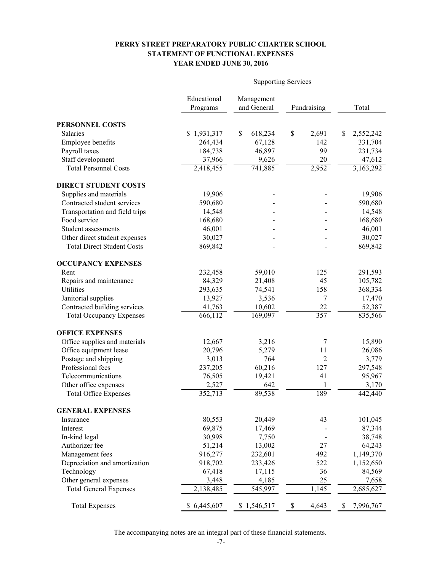### **PERRY STREET PREPARATORY PUBLIC CHARTER SCHOOL STATEMENT OF FUNCTIONAL EXPENSES YEAR ENDED JUNE 30, 2016**

|                                   |             | <b>Supporting Services</b> |                  |                 |
|-----------------------------------|-------------|----------------------------|------------------|-----------------|
|                                   | Educational | Management                 |                  |                 |
|                                   | Programs    | and General                | Fundraising      | Total           |
| PERSONNEL COSTS                   |             |                            |                  |                 |
| <b>Salaries</b>                   | \$1,931,317 | \$<br>618,234              | \$<br>2,691      | \$<br>2,552,242 |
| Employee benefits                 | 264,434     | 67,128                     | 142              | 331,704         |
| Payroll taxes                     | 184,738     | 46,897                     | 99               | 231,734         |
| Staff development                 | 37,966      | 9,626                      | 20               | 47,612          |
| <b>Total Personnel Costs</b>      | 2,418,455   | 741,885                    | 2,952            | 3,163,292       |
| <b>DIRECT STUDENT COSTS</b>       |             |                            |                  |                 |
| Supplies and materials            | 19,906      |                            |                  | 19,906          |
| Contracted student services       | 590,680     |                            |                  | 590,680         |
| Transportation and field trips    | 14,548      |                            |                  | 14,548          |
| Food service                      | 168,680     |                            |                  | 168,680         |
| Student assessments               | 46,001      |                            |                  | 46,001          |
| Other direct student expenses     | 30,027      |                            |                  | 30,027          |
| <b>Total Direct Student Costs</b> | 869,842     |                            |                  | 869,842         |
| <b>OCCUPANCY EXPENSES</b>         |             |                            |                  |                 |
| Rent                              | 232,458     | 59,010                     | 125              | 291,593         |
| Repairs and maintenance           | 84,329      | 21,408                     | 45               | 105,782         |
| Utilities                         | 293,635     | 74,541                     | 158              | 368,334         |
| Janitorial supplies               | 13,927      | 3,536                      | 7                | 17,470          |
| Contracted building services      | 41,763      | 10,602                     | 22               | 52,387          |
| <b>Total Occupancy Expenses</b>   | 666,112     | 169,097                    | $\overline{357}$ | 835,566         |
| <b>OFFICE EXPENSES</b>            |             |                            |                  |                 |
| Office supplies and materials     | 12,667      | 3,216                      | 7                | 15,890          |
| Office equipment lease            | 20,796      | 5,279                      | 11               | 26,086          |
| Postage and shipping              | 3,013       | 764                        | 2                | 3,779           |
| Professional fees                 | 237,205     | 60,216                     | 127              | 297,548         |
| Telecommunications                | 76,505      | 19,421                     | 41               | 95,967          |
| Other office expenses             | 2,527       | 642                        | 1                | 3,170           |
| <b>Total Office Expenses</b>      | 352,713     | 89,538                     | 189              | 442,440         |
| <b>GENERAL EXPENSES</b>           |             |                            |                  |                 |
| Insurance                         | 80,553      | 20,449                     | 43               | 101,045         |
| Interest                          | 69,875      | 17,469                     |                  | 87,344          |
| In-kind legal                     | 30,998      | 7,750                      |                  | 38,748          |
| Authorizer fee                    | 51,214      | 13,002                     | 27               | 64,243          |
| Management fees                   | 916,277     | 232,601                    | 492              | 1,149,370       |
| Depreciation and amortization     | 918,702     | 233,426                    | 522              | 1,152,650       |
| Technology                        | 67,418      | 17,115                     | 36               | 84,569          |
| Other general expenses            | 3,448       | 4,185                      | 25               | 7,658           |
| <b>Total General Expenses</b>     | 2,138,485   | 545,997                    | 1,145            | 2,685,627       |
| <b>Total Expenses</b>             | \$6,445,607 | \$1,546,517                | \$<br>4,643      | \$<br>7,996,767 |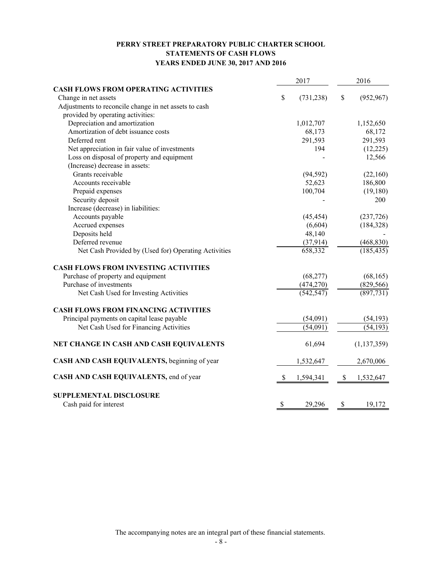### **PERRY STREET PREPARATORY PUBLIC CHARTER SCHOOL STATEMENTS OF CASH FLOWS YEARS ENDED JUNE 30, 2017 AND 2016**

| 2017                                                  |    | 2016       |    |               |
|-------------------------------------------------------|----|------------|----|---------------|
| <b>CASH FLOWS FROM OPERATING ACTIVITIES</b>           |    |            |    |               |
| Change in net assets                                  | \$ | (731, 238) | \$ | (952, 967)    |
| Adjustments to reconcile change in net assets to cash |    |            |    |               |
| provided by operating activities:                     |    |            |    |               |
| Depreciation and amortization                         |    | 1,012,707  |    | 1,152,650     |
| Amortization of debt issuance costs                   |    | 68,173     |    | 68,172        |
| Deferred rent                                         |    | 291,593    |    | 291,593       |
| Net appreciation in fair value of investments         |    | 194        |    | (12,225)      |
| Loss on disposal of property and equipment            |    |            |    | 12,566        |
| (Increase) decrease in assets:                        |    |            |    |               |
| Grants receivable                                     |    | (94, 592)  |    | (22,160)      |
| Accounts receivable                                   |    | 52,623     |    | 186,800       |
| Prepaid expenses                                      |    | 100,704    |    | (19, 180)     |
| Security deposit                                      |    |            |    | 200           |
| Increase (decrease) in liabilities:                   |    |            |    |               |
| Accounts payable                                      |    | (45, 454)  |    | (237, 726)    |
| Accrued expenses                                      |    | (6,604)    |    | (184, 328)    |
| Deposits held                                         |    | 48,140     |    |               |
| Deferred revenue                                      |    | (37, 914)  |    | (468, 830)    |
| Net Cash Provided by (Used for) Operating Activities  |    | 658,332    |    | (185, 435)    |
| <b>CASH FLOWS FROM INVESTING ACTIVITIES</b>           |    |            |    |               |
| Purchase of property and equipment                    |    | (68, 277)  |    | (68, 165)     |
| Purchase of investments                               |    | (474, 270) |    | (829, 566)    |
| Net Cash Used for Investing Activities                |    | (542, 547) |    | (897, 731)    |
| <b>CASH FLOWS FROM FINANCING ACTIVITIES</b>           |    |            |    |               |
| Principal payments on capital lease payable           |    | (54,091)   |    | (54, 193)     |
| Net Cash Used for Financing Activities                |    | (54,091)   |    | (54, 193)     |
| NET CHANGE IN CASH AND CASH EQUIVALENTS               |    | 61,694     |    | (1, 137, 359) |
| CASH AND CASH EQUIVALENTS, beginning of year          |    | 1,532,647  |    | 2,670,006     |
| CASH AND CASH EQUIVALENTS, end of year                | \$ | 1,594,341  | \$ | 1,532,647     |
| <b>SUPPLEMENTAL DISCLOSURE</b>                        |    |            |    |               |
| Cash paid for interest                                | \$ | 29,296     | \$ | 19,172        |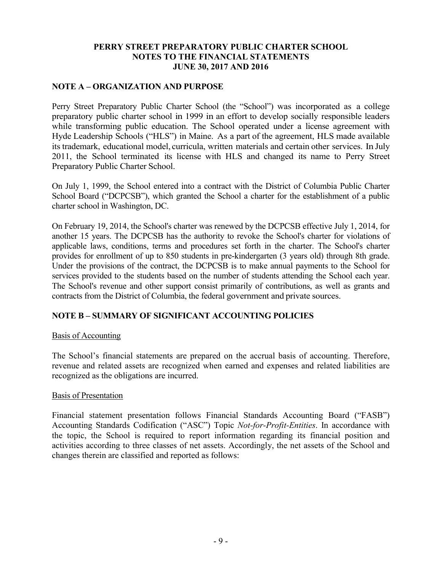## **NOTE A – ORGANIZATION AND PURPOSE**

Perry Street Preparatory Public Charter School (the "School") was incorporated as a college preparatory public charter school in 1999 in an effort to develop socially responsible leaders while transforming public education. The School operated under a license agreement with Hyde Leadership Schools ("HLS") in Maine. As a part of the agreement, HLS made available its trademark, educational model, curricula, written materials and certain other services. In July 2011, the School terminated its license with HLS and changed its name to Perry Street Preparatory Public Charter School.

On July 1, 1999, the School entered into a contract with the District of Columbia Public Charter School Board ("DCPCSB"), which granted the School a charter for the establishment of a public charter school in Washington, DC.

On February 19, 2014, the School's charter was renewed by the DCPCSB effective July 1, 2014, for another 15 years. The DCPCSB has the authority to revoke the School's charter for violations of applicable laws, conditions, terms and procedures set forth in the charter. The School's charter provides for enrollment of up to 850 students in pre-kindergarten (3 years old) through 8th grade. Under the provisions of the contract, the DCPCSB is to make annual payments to the School for services provided to the students based on the number of students attending the School each year. The School's revenue and other support consist primarily of contributions, as well as grants and contracts from the District of Columbia, the federal government and private sources.

## **NOTE B – SUMMARY OF SIGNIFICANT ACCOUNTING POLICIES**

### Basis of Accounting

The School's financial statements are prepared on the accrual basis of accounting. Therefore, revenue and related assets are recognized when earned and expenses and related liabilities are recognized as the obligations are incurred.

### Basis of Presentation

Financial statement presentation follows Financial Standards Accounting Board ("FASB") Accounting Standards Codification ("ASC") Topic *Not-for-Profit-Entities*. In accordance with the topic, the School is required to report information regarding its financial position and activities according to three classes of net assets. Accordingly, the net assets of the School and changes therein are classified and reported as follows: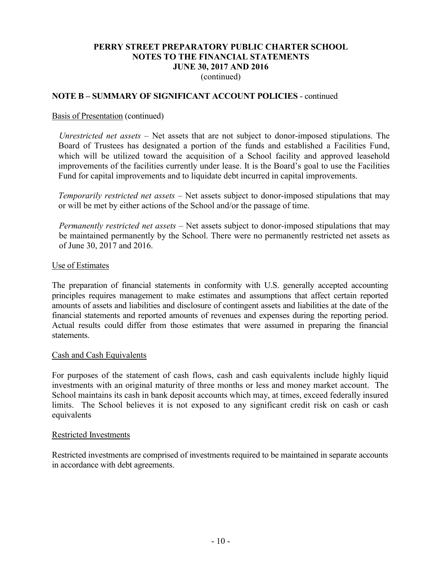(continued)

## **NOTE B – SUMMARY OF SIGNIFICANT ACCOUNT POLICIES** - continued

## Basis of Presentation (continued)

*Unrestricted net assets* – Net assets that are not subject to donor-imposed stipulations. The Board of Trustees has designated a portion of the funds and established a Facilities Fund, which will be utilized toward the acquisition of a School facility and approved leasehold improvements of the facilities currently under lease. It is the Board's goal to use the Facilities Fund for capital improvements and to liquidate debt incurred in capital improvements.

*Temporarily restricted net assets* – Net assets subject to donor-imposed stipulations that may or will be met by either actions of the School and/or the passage of time.

*Permanently restricted net assets* – Net assets subject to donor-imposed stipulations that may be maintained permanently by the School. There were no permanently restricted net assets as of June 30, 2017 and 2016.

#### Use of Estimates

The preparation of financial statements in conformity with U.S. generally accepted accounting principles requires management to make estimates and assumptions that affect certain reported amounts of assets and liabilities and disclosure of contingent assets and liabilities at the date of the financial statements and reported amounts of revenues and expenses during the reporting period. Actual results could differ from those estimates that were assumed in preparing the financial statements.

### Cash and Cash Equivalents

For purposes of the statement of cash flows, cash and cash equivalents include highly liquid investments with an original maturity of three months or less and money market account. The School maintains its cash in bank deposit accounts which may, at times, exceed federally insured limits. The School believes it is not exposed to any significant credit risk on cash or cash equivalents

### Restricted Investments

Restricted investments are comprised of investments required to be maintained in separate accounts in accordance with debt agreements.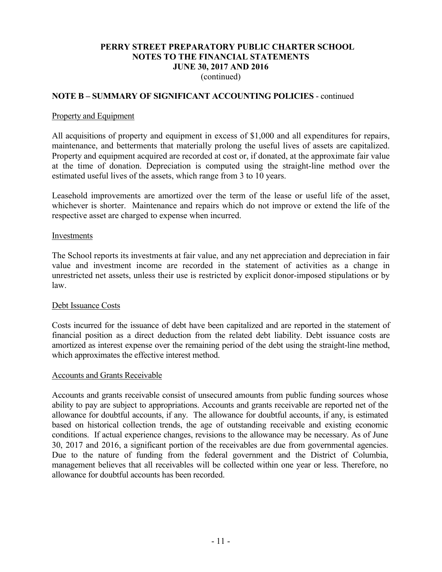(continued)

## **NOTE B – SUMMARY OF SIGNIFICANT ACCOUNTING POLICIES** - continued

### Property and Equipment

All acquisitions of property and equipment in excess of \$1,000 and all expenditures for repairs, maintenance, and betterments that materially prolong the useful lives of assets are capitalized. Property and equipment acquired are recorded at cost or, if donated, at the approximate fair value at the time of donation. Depreciation is computed using the straight-line method over the estimated useful lives of the assets, which range from 3 to 10 years.

Leasehold improvements are amortized over the term of the lease or useful life of the asset, whichever is shorter. Maintenance and repairs which do not improve or extend the life of the respective asset are charged to expense when incurred.

#### Investments

The School reports its investments at fair value, and any net appreciation and depreciation in fair value and investment income are recorded in the statement of activities as a change in unrestricted net assets, unless their use is restricted by explicit donor-imposed stipulations or by law.

### Debt Issuance Costs

Costs incurred for the issuance of debt have been capitalized and are reported in the statement of financial position as a direct deduction from the related debt liability. Debt issuance costs are amortized as interest expense over the remaining period of the debt using the straight-line method, which approximates the effective interest method.

### Accounts and Grants Receivable

Accounts and grants receivable consist of unsecured amounts from public funding sources whose ability to pay are subject to appropriations. Accounts and grants receivable are reported net of the allowance for doubtful accounts, if any. The allowance for doubtful accounts, if any, is estimated based on historical collection trends, the age of outstanding receivable and existing economic conditions. If actual experience changes, revisions to the allowance may be necessary. As of June 30, 2017 and 2016, a significant portion of the receivables are due from governmental agencies. Due to the nature of funding from the federal government and the District of Columbia, management believes that all receivables will be collected within one year or less. Therefore, no allowance for doubtful accounts has been recorded.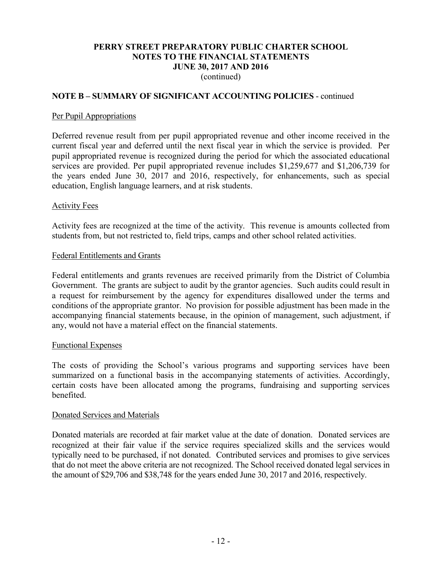(continued)

### **NOTE B – SUMMARY OF SIGNIFICANT ACCOUNTING POLICIES** - continued

#### Per Pupil Appropriations

Deferred revenue result from per pupil appropriated revenue and other income received in the current fiscal year and deferred until the next fiscal year in which the service is provided. Per pupil appropriated revenue is recognized during the period for which the associated educational services are provided. Per pupil appropriated revenue includes \$1,259,677 and \$1,206,739 for the years ended June 30, 2017 and 2016, respectively, for enhancements, such as special education, English language learners, and at risk students.

#### Activity Fees

Activity fees are recognized at the time of the activity. This revenue is amounts collected from students from, but not restricted to, field trips, camps and other school related activities.

#### Federal Entitlements and Grants

Federal entitlements and grants revenues are received primarily from the District of Columbia Government. The grants are subject to audit by the grantor agencies. Such audits could result in a request for reimbursement by the agency for expenditures disallowed under the terms and conditions of the appropriate grantor. No provision for possible adjustment has been made in the accompanying financial statements because, in the opinion of management, such adjustment, if any, would not have a material effect on the financial statements.

### Functional Expenses

The costs of providing the School's various programs and supporting services have been summarized on a functional basis in the accompanying statements of activities. Accordingly, certain costs have been allocated among the programs, fundraising and supporting services benefited.

#### Donated Services and Materials

Donated materials are recorded at fair market value at the date of donation. Donated services are recognized at their fair value if the service requires specialized skills and the services would typically need to be purchased, if not donated. Contributed services and promises to give services that do not meet the above criteria are not recognized. The School received donated legal services in the amount of \$29,706 and \$38,748 for the years ended June 30, 2017 and 2016, respectively.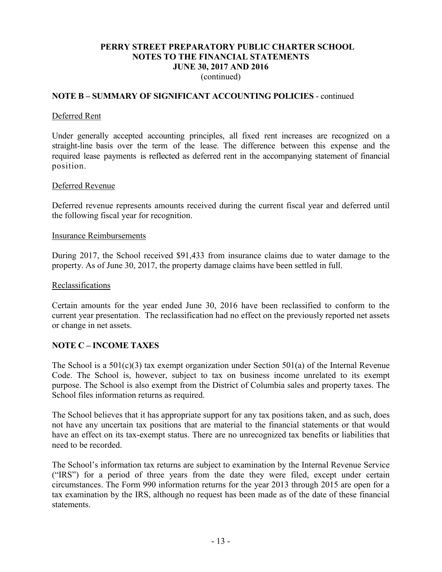(continued)

### **NOTE B – SUMMARY OF SIGNIFICANT ACCOUNTING POLICIES** - continued

#### Deferred Rent

Under generally accepted accounting principles, all fixed rent increases are recognized on a straight-line basis over the term of the lease. The difference between this expense and the required lease payments is reflected as deferred rent in the accompanying statement of financial position.

#### Deferred Revenue

Deferred revenue represents amounts received during the current fiscal year and deferred until the following fiscal year for recognition.

#### Insurance Reimbursements

During 2017, the School received \$91,433 from insurance claims due to water damage to the property. As of June 30, 2017, the property damage claims have been settled in full.

#### Reclassifications

Certain amounts for the year ended June 30, 2016 have been reclassified to conform to the current year presentation. The reclassification had no effect on the previously reported net assets or change in net assets.

### **NOTE C – INCOME TAXES**

The School is a 501(c)(3) tax exempt organization under Section 501(a) of the Internal Revenue Code. The School is, however, subject to tax on business income unrelated to its exempt purpose. The School is also exempt from the District of Columbia sales and property taxes. The School files information returns as required.

The School believes that it has appropriate support for any tax positions taken, and as such, does not have any uncertain tax positions that are material to the financial statements or that would have an effect on its tax-exempt status. There are no unrecognized tax benefits or liabilities that need to be recorded.

The School's information tax returns are subject to examination by the Internal Revenue Service ("IRS") for a period of three years from the date they were filed, except under certain circumstances. The Form 990 information returns for the year 2013 through 2015 are open for a tax examination by the IRS, although no request has been made as of the date of these financial statements.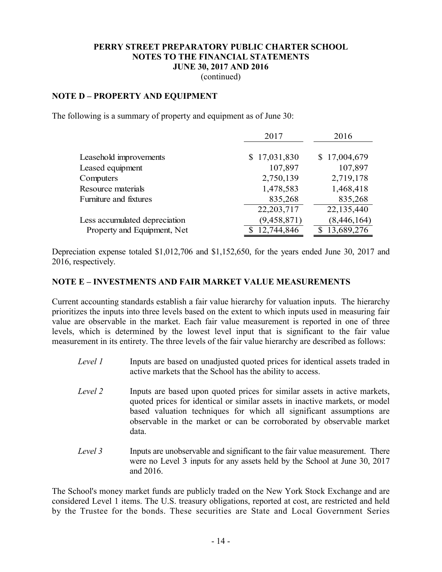(continued)

### **NOTE D – PROPERTY AND EQUIPMENT**

The following is a summary of property and equipment as of June 30:

|                               | 2017          | 2016         |
|-------------------------------|---------------|--------------|
|                               |               |              |
| Leasehold improvements        | \$17,031,830  | \$17,004,679 |
| Leased equipment              | 107,897       | 107,897      |
| Computers                     | 2,750,139     | 2,719,178    |
| Resource materials            | 1,478,583     | 1,468,418    |
| Furniture and fixtures        | 835,268       | 835,268      |
|                               | 22, 203, 717  | 22,135,440   |
| Less accumulated depreciation | (9, 458, 871) | (8,446,164)  |
| Property and Equipment, Net   | 12,744,846    | 13,689,276   |

Depreciation expense totaled \$1,012,706 and \$1,152,650, for the years ended June 30, 2017 and 2016, respectively.

#### **NOTE E – INVESTMENTS AND FAIR MARKET VALUE MEASUREMENTS**

Current accounting standards establish a fair value hierarchy for valuation inputs. The hierarchy prioritizes the inputs into three levels based on the extent to which inputs used in measuring fair value are observable in the market. Each fair value measurement is reported in one of three levels, which is determined by the lowest level input that is significant to the fair value measurement in its entirety. The three levels of the fair value hierarchy are described as follows:

- *Level 1* Inputs are based on unadjusted quoted prices for identical assets traded in active markets that the School has the ability to access.
- *Level 2* Inputs are based upon quoted prices for similar assets in active markets, quoted prices for identical or similar assets in inactive markets, or model based valuation techniques for which all significant assumptions are observable in the market or can be corroborated by observable market data.
- *Level 3* Inputs are unobservable and significant to the fair value measurement. There were no Level 3 inputs for any assets held by the School at June 30, 2017 and 2016.

The School's money market funds are publicly traded on the New York Stock Exchange and are considered Level 1 items. The U.S. treasury obligations, reported at cost, are restricted and held by the Trustee for the bonds. These securities are State and Local Government Series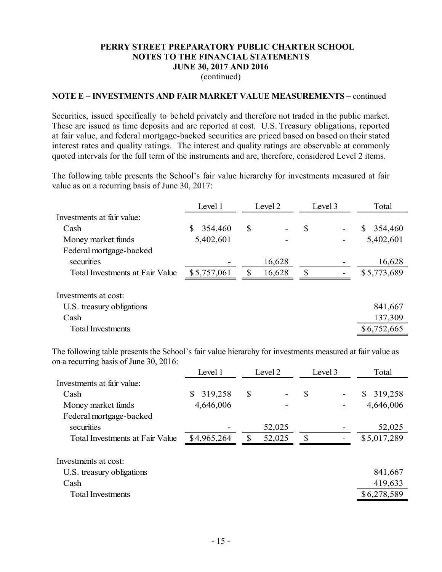(continued)

#### **NOTE E – INVESTMENTS AND FAIR MARKET VALUE MEASUREMENTS –** continued

Securities, issued specifically to beheld privately and therefore not traded in the public market. These are issued as time deposits and are reported at cost. U.S. Treasury obligations, reported at fair value, and federal mortgage-backed securities are priced based on based on their stated interest rates and quality ratings. The interest and quality ratings are observable at commonly quoted intervals for the full term of the instruments and are, therefore, considered Level 2 items.

The following table presents the School's fair value hierarchy for investments measured at fair value as on a recurring basis of June 30, 2017:

|                                        | Level 1       | Level 2<br>Level 3 |        | Total |  |               |
|----------------------------------------|---------------|--------------------|--------|-------|--|---------------|
| Investments at fair value:             |               |                    |        |       |  |               |
| Cash                                   | 354,460<br>S. | \$                 |        | \$    |  | \$<br>354,460 |
| Money market funds                     | 5,402,601     |                    |        |       |  | 5,402,601     |
| Federal mortgage-backed                |               |                    |        |       |  |               |
| securities                             |               |                    | 16,628 |       |  | 16,628        |
| <b>Total Investments at Fair Value</b> | \$5,757,061   |                    | 16,628 | S     |  | \$5,773,689   |
| Investments at cost:                   |               |                    |        |       |  |               |
| U.S. treasury obligations              |               |                    |        |       |  | 841,667       |
| Cash                                   |               |                    |        |       |  | 137,309       |
| <b>Total Investments</b>               |               |                    |        |       |  | \$6,752,665   |

The following table presents the School's fair value hierarchy for investments measured at fair value as on a recurring basis of June 30, 2016:

|                                        | Level 1       | Level 2 |    | Level 3 | Total         |
|----------------------------------------|---------------|---------|----|---------|---------------|
| Investments at fair value:             |               |         |    |         |               |
| Cash                                   | 319,258<br>\$ | \$      | \$ |         | 319,258<br>\$ |
| Money market funds                     | 4,646,006     |         |    |         | 4,646,006     |
| Federal mortgage-backed                |               |         |    |         |               |
| securities                             |               | 52,025  |    |         | 52,025        |
| <b>Total Investments at Fair Value</b> | \$4,965,264   | 52,025  | \$ |         | \$5,017,289   |
| Investments at cost:                   |               |         |    |         |               |
| U.S. treasury obligations              |               |         |    |         | 841,667       |
| Cash                                   |               |         |    |         | 419,633       |
| <b>Total Investments</b>               |               |         |    |         | \$6,278,589   |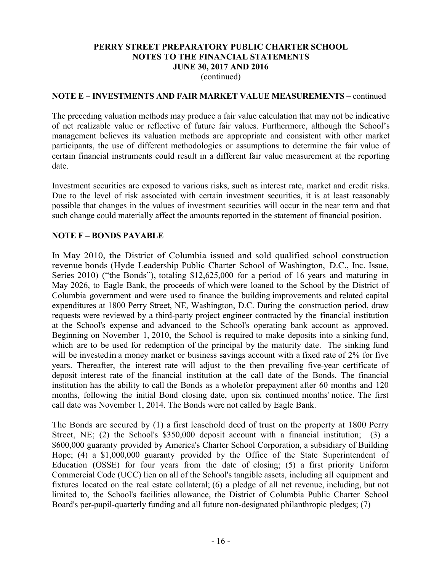(continued)

### **NOTE E – INVESTMENTS AND FAIR MARKET VALUE MEASUREMENTS –** continued

The preceding valuation methods may produce a fair value calculation that may not be indicative of net realizable value or reflective of future fair values. Furthermore, although the School's management believes its valuation methods are appropriate and consistent with other market participants, the use of different methodologies or assumptions to determine the fair value of certain financial instruments could result in a different fair value measurement at the reporting date.

Investment securities are exposed to various risks, such as interest rate, market and credit risks. Due to the level of risk associated with certain investment securities, it is at least reasonably possible that changes in the values of investment securities will occur in the near term and that such change could materially affect the amounts reported in the statement of financial position.

## **NOTE F – BONDS PAYABLE**

In May 2010, the District of Columbia issued and sold qualified school construction revenue bonds (Hyde Leadership Public Charter School of Washington, D.C., Inc. Issue, Series 2010) ("the Bonds"), totaling \$12,625,000 for a period of 16 years and maturing in May 2026, to Eagle Bank, the proceeds of which were loaned to the School by the District of Columbia government and were used to finance the building improvements and related capital expenditures at 1800 Perry Street, NE, Washington, D.C. During the construction period, draw requests were reviewed by a third-party project engineer contracted by the financial institution at the School's expense and advanced to the School's operating bank account as approved. Beginning on November 1, 2010, the School is required to make deposits into a sinking fund, which are to be used for redemption of the principal by the maturity date. The sinking fund will be invested in a money market or business savings account with a fixed rate of 2% for five years. Thereafter, the interest rate will adjust to the then prevailing five-year certificate of deposit interest rate of the financial institution at the call date of the Bonds. The financial institution has the ability to call the Bonds as a wholefor prepayment after 60 months and 120 months, following the initial Bond closing date, upon six continued months' notice. The first call date was November 1, 2014. The Bonds were not called by Eagle Bank.

The Bonds are secured by (1) a first leasehold deed of trust on the property at 1800 Perry Street, NE; (2) the School's \$350,000 deposit account with a financial institution; (3) a \$600,000 guaranty provided by America's Charter School Corporation, a subsidiary of Building Hope; (4) a \$1,000,000 guaranty provided by the Office of the State Superintendent of Education (OSSE) for four years from the date of closing; (5) a first priority Uniform Commercial Code (UCC) lien on all of the School's tangible assets, including all equipment and fixtures located on the real estate collateral; (6) a pledge of all net revenue, including, but not limited to, the School's facilities allowance, the District of Columbia Public Charter School Board's per-pupil-quarterly funding and all future non-designated philanthropic pledges; (7)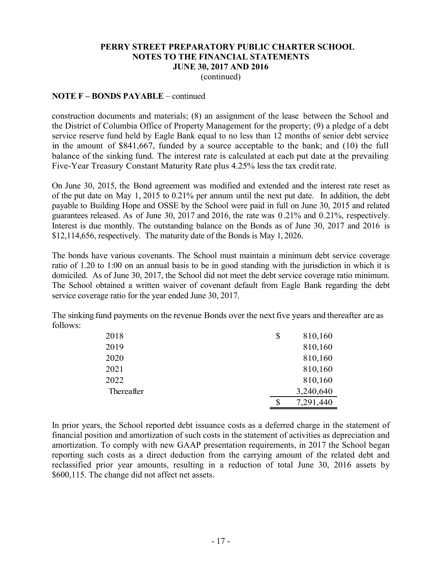(continued)

### **NOTE F – BONDS PAYABLE** – continued

construction documents and materials; (8) an assignment of the lease between the School and the District of Columbia Office of Property Management for the property; (9) a pledge of a debt service reserve fund held by Eagle Bank equal to no less than 12 months of senior debt service in the amount of \$841,667, funded by a source acceptable to the bank; and (10) the full balance of the sinking fund. The interest rate is calculated at each put date at the prevailing Five-Year Treasury Constant Maturity Rate plus 4.25% less the tax creditrate.

On June 30, 2015, the Bond agreement was modified and extended and the interest rate reset as of the put date on May 1, 2015 to 0.21% per annum until the next put date. In addition, the debt payable to Building Hope and OSSE by the School were paid in full on June 30, 2015 and related guarantees released. As of June 30, 2017 and 2016, the rate was 0 .21% and 0.21%, respectively. Interest is due monthly. The outstanding balance on the Bonds as of June 30, 2017 and 2016 is \$12,114,656, respectively. The maturity date of the Bonds is May 1, 2026.

The bonds have various covenants. The School must maintain a minimum debt service coverage ratio of 1.20 to 1:00 on an annual basis to be in good standing with the jurisdiction in which it is domiciled. As of June 30, 2017, the School did not meet the debt service coverage ratio minimum. The School obtained a written waiver of covenant default from Eagle Bank regarding the debt service coverage ratio for the year ended June 30, 2017.

The sinking fund payments on the revenue Bonds over the nextfive years and thereafter are as follows:

| 2018       | \$<br>810,160   |
|------------|-----------------|
| 2019       | 810,160         |
| 2020       | 810,160         |
| 2021       | 810,160         |
| 2022       | 810,160         |
| Thereafter | 3,240,640       |
|            | \$<br>7,291,440 |

In prior years, the School reported debt issuance costs as a deferred charge in the statement of financial position and amortization of such costs in the statement of activities as depreciation and amortization. To comply with new GAAP presentation requirements, in 2017 the School began reporting such costs as a direct deduction from the carrying amount of the related debt and reclassified prior year amounts, resulting in a reduction of total June 30, 2016 assets by \$600,115. The change did not affect net assets.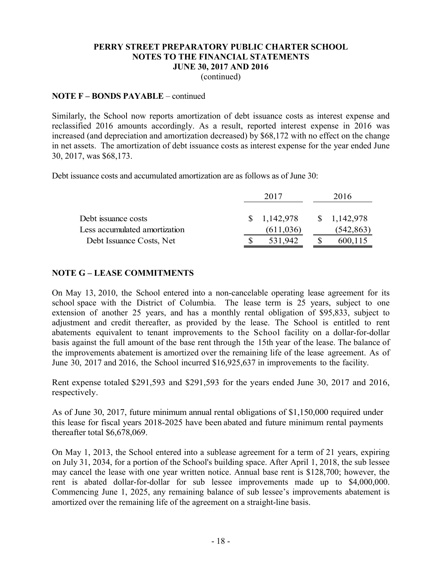(continued)

### **NOTE F – BONDS PAYABLE** – continued

Similarly, the School now reports amortization of debt issuance costs as interest expense and reclassified 2016 amounts accordingly. As a result, reported interest expense in 2016 was increased (and depreciation and amortization decreased) by \$68,172 with no effect on the change in net assets. The amortization of debt issuance costs as interest expense for the year ended June 30, 2017, was \$68,173.

Debt issuance costs and accumulated amortization are as follows as of June 30:

|                               | 2017 |             | 2016        |
|-------------------------------|------|-------------|-------------|
|                               |      |             |             |
| Debt issuance costs           |      | \$1,142,978 | \$1,142,978 |
| Less accumulated amortization |      | (611, 036)  | (542, 863)  |
| Debt Issuance Costs, Net      |      | 531,942     | 600,115     |

## **NOTE G – LEASE COMMITMENTS**

On May 13, 2010, the School entered into a non-cancelable operating lease agreement for its school space with the District of Columbia. The lease term is 25 years, subject to one extension of another 25 years, and has a monthly rental obligation of \$95,833, subject to adjustment and credit thereafter, as provided by the lease. The School is entitled to rent abatements equivalent to tenant improvements to the School facility on a dollar-for-dollar basis against the full amount of the base rent through the 15th year of the lease. The balance of the improvements abatement is amortized over the remaining life of the lease agreement. As of June 30, 2017 and 2016, the School incurred \$16,925,637 in improvements to the facility.

Rent expense totaled \$291,593 and \$291,593 for the years ended June 30, 2017 and 2016, respectively.

As of June 30, 2017, future minimum annual rental obligations of \$1,150,000 required under this lease for fiscal years 2018-2025 have been abated and future minimum rental payments thereafter total \$6,678,069.

On May 1, 2013, the School entered into a sublease agreement for a term of 21 years, expiring on July 31, 2034, for a portion of the School's building space. After April 1, 2018, the sub lessee may cancel the lease with one year written notice. Annual base rent is \$128,700; however, the rent is abated dollar-for-dollar for sub lessee improvements made up to \$4,000,000. Commencing June 1, 2025, any remaining balance of sub lessee's improvements abatement is amortized over the remaining life of the agreement on a straight-line basis.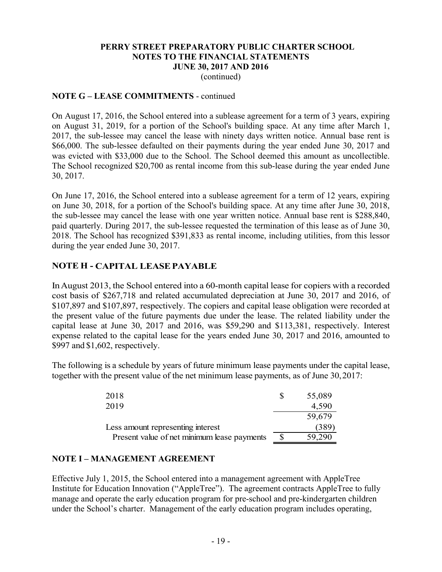(continued)

## **NOTE G – LEASE COMMITMENTS** - continued

On August 17, 2016, the School entered into a sublease agreement for a term of 3 years, expiring on August 31, 2019, for a portion of the School's building space. At any time after March 1, 2017, the sub-lessee may cancel the lease with ninety days written notice. Annual base rent is \$66,000. The sub-lessee defaulted on their payments during the year ended June 30, 2017 and was evicted with \$33,000 due to the School. The School deemed this amount as uncollectible. The School recognized \$20,700 as rental income from this sub-lease during the year ended June 30, 2017.

On June 17, 2016, the School entered into a sublease agreement for a term of 12 years, expiring on June 30, 2018, for a portion of the School's building space. At any time after June 30, 2018, the sub-lessee may cancel the lease with one year written notice. Annual base rent is \$288,840, paid quarterly. During 2017, the sub-lessee requested the termination of this lease as of June 30, 2018. The School has recognized \$391,833 as rental income, including utilities, from this lessor during the year ended June 30, 2017.

## **NOTE H - CAPITAL LEASEPAYABLE**

InAugust 2013, the School entered into a 60-month capital lease for copiers with a recorded cost basis of \$267,718 and related accumulated depreciation at June 30, 2017 and 2016, of \$107,897 and \$107,897, respectively. The copiers and capital lease obligation were recorded at the present value of the future payments due under the lease. The related liability under the capital lease at June 30, 2017 and 2016, was \$59,290 and \$113,381, respectively. Interest expense related to the capital lease for the years ended June 30, 2017 and 2016, amounted to \$997 and \$1,602, respectively.

The following is a schedule by years of future minimum lease payments under the capital lease, together with the present value of the net minimum lease payments, as of June 30,2017:

| 2018                                        | 55,089 |
|---------------------------------------------|--------|
| 2019                                        | 4,590  |
|                                             | 59,679 |
| Less amount representing interest           | (389)  |
| Present value of net minimum lease payments | 59.290 |

## **NOTE I – MANAGEMENT AGREEMENT**

Effective July 1, 2015, the School entered into a management agreement with AppleTree Institute for Education Innovation ("AppleTree"). The agreement contracts AppleTree to fully manage and operate the early education program for pre-school and pre-kindergarten children under the School's charter. Management of the early education program includes operating,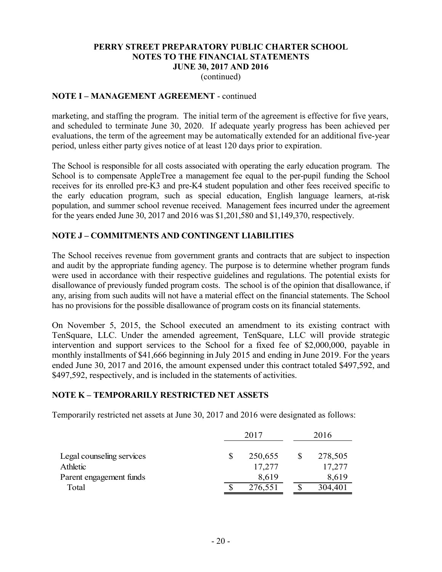(continued)

## **NOTE I – MANAGEMENT AGREEMENT** - continued

marketing, and staffing the program. The initial term of the agreement is effective for five years, and scheduled to terminate June 30, 2020. If adequate yearly progress has been achieved per evaluations, the term of the agreement may be automatically extended for an additional five-year period, unless either party gives notice of at least 120 days prior to expiration.

The School is responsible for all costs associated with operating the early education program. The School is to compensate AppleTree a management fee equal to the per-pupil funding the School receives for its enrolled pre-K3 and pre-K4 student population and other fees received specific to the early education program, such as special education, English language learners, at-risk population, and summer school revenue received. Management fees incurred under the agreement for the years ended June 30, 2017 and 2016 was \$1,201,580 and \$1,149,370, respectively.

## **NOTE J – COMMITMENTS AND CONTINGENT LIABILITIES**

The School receives revenue from government grants and contracts that are subject to inspection and audit by the appropriate funding agency. The purpose is to determine whether program funds were used in accordance with their respective guidelines and regulations. The potential exists for disallowance of previously funded program costs. The school is of the opinion that disallowance, if any, arising from such audits will not have a material effect on the financial statements. The School has no provisions for the possible disallowance of program costs on its financial statements.

On November 5, 2015, the School executed an amendment to its existing contract with TenSquare, LLC. Under the amended agreement, TenSquare, LLC will provide strategic intervention and support services to the School for a fixed fee of \$2,000,000, payable in monthly installments of \$41,666 beginning in July 2015 and ending in June 2019. For the years ended June 30, 2017 and 2016, the amount expensed under this contract totaled \$497,592, and \$497,592, respectively, and is included in the statements of activities.

## **NOTE K – TEMPORARILY RESTRICTED NET ASSETS**

Temporarily restricted net assets at June 30, 2017 and 2016 were designated as follows:

|                           | 2017 |         | 2016 |         |  |
|---------------------------|------|---------|------|---------|--|
| Legal counseling services |      | 250,655 |      | 278,505 |  |
| Athletic                  |      | 17,277  |      | 17,277  |  |
| Parent engagement funds   |      | 8,619   |      | 8,619   |  |
| Total                     |      | 276,551 |      | 304,401 |  |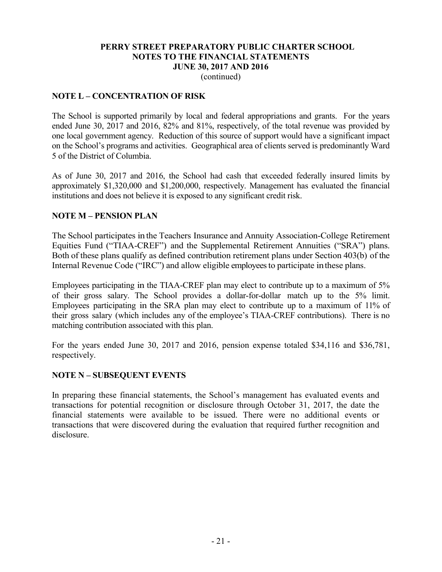(continued)

## **NOTE L – CONCENTRATION OF RISK**

The School is supported primarily by local and federal appropriations and grants. For the years ended June 30, 2017 and 2016, 82% and 81%, respectively, of the total revenue was provided by one local government agency. Reduction of this source of support would have a significant impact on the School's programs and activities. Geographical area of clients served is predominantly Ward 5 of the District of Columbia.

As of June 30, 2017 and 2016, the School had cash that exceeded federally insured limits by approximately \$1,320,000 and \$1,200,000, respectively. Management has evaluated the financial institutions and does not believe it is exposed to any significant credit risk.

## **NOTE M – PENSION PLAN**

The School participates in the Teachers Insurance and Annuity Association-College Retirement Equities Fund ("TIAA-CREF") and the Supplemental Retirement Annuities ("SRA") plans. Both of these plans qualify as defined contribution retirement plans under Section 403(b) of the Internal Revenue Code ("IRC") and allow eligible employees to participate inthese plans.

Employees participating in the TIAA-CREF plan may elect to contribute up to a maximum of 5% of their gross salary. The School provides a dollar-for-dollar match up to the 5% limit. Employees participating in the SRA plan may elect to contribute up to a maximum of 11% of their gross salary (which includes any of the employee's TIAA-CREF contributions). There is no matching contribution associated with this plan.

For the years ended June 30, 2017 and 2016, pension expense totaled \$34,116 and \$36,781, respectively.

## **NOTE N – SUBSEQUENT EVENTS**

In preparing these financial statements, the School's management has evaluated events and transactions for potential recognition or disclosure through October 31, 2017, the date the financial statements were available to be issued. There were no additional events or transactions that were discovered during the evaluation that required further recognition and disclosure.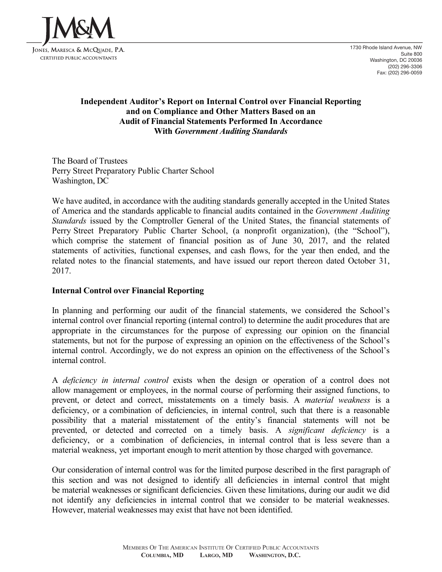

1730 Rhode Island Avenue, NW Suite 800 Washington, DC 20036 (202) 296-3306 Fax: (202) 296-0059

## **Independent Auditor's Report on Internal Control over Financial Reporting and on Compliance and Other Matters Based on an Audit of Financial Statements Performed In Accordance With** *Government Auditing Standards*

The Board of Trustees Perry Street Preparatory Public Charter School Washington, DC

We have audited, in accordance with the auditing standards generally accepted in the United States of America and the standards applicable to financial audits contained in the *Government Auditing Standards* issued by the Comptroller General of the United States, the financial statements of Perry Street Preparatory Public Charter School, (a nonprofit organization), (the "School"), which comprise the statement of financial position as of June 30, 2017, and the related statements of activities, functional expenses, and cash flows, for the year then ended, and the related notes to the financial statements, and have issued our report thereon dated October 31, 2017.

## **Internal Control over Financial Reporting**

In planning and performing our audit of the financial statements, we considered the School's internal control over financial reporting (internal control) to determine the audit procedures that are appropriate in the circumstances for the purpose of expressing our opinion on the financial statements, but not for the purpose of expressing an opinion on the effectiveness of the School's internal control. Accordingly, we do not express an opinion on the effectiveness of the School's internal control.

A *deficiency in internal control* exists when the design or operation of a control does not allow management or employees, in the normal course of performing their assigned functions, to prevent, or detect and correct, misstatements on a timely basis. A *material weakness* is a deficiency, or a combination of deficiencies, in internal control, such that there is a reasonable possibility that a material misstatement of the entity's financial statements will not be prevented, or detected and corrected on a timely basis. A *significant deficiency* is a deficiency, or a combination of deficiencies, in internal control that is less severe than a material weakness, yet important enough to merit attention by those charged with governance.

Our consideration of internal control was for the limited purpose described in the first paragraph of this section and was not designed to identify all deficiencies in internal control that might be material weaknesses or significant deficiencies. Given these limitations, during our audit we did not identify any deficiencies in internal control that we consider to be material weaknesses. However, material weaknesses may exist that have not been identified.